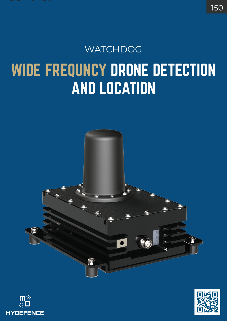## WIDE FREQUNCY DRONE DETECTION AND LOCATION **WATCHDOG**